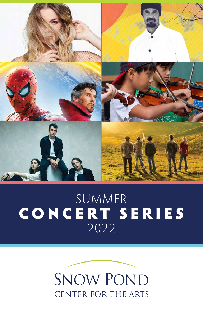

# SUMMER C O N C E R T S E R I E S 2022

# **SNOW POND** CENTER FOR THE ARTS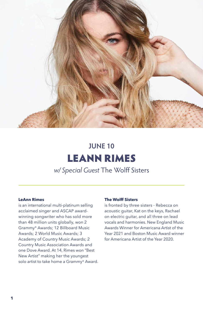

# *w/ Special Guest* The Wolff Sisters LEANN RIMES **JUNE 10**

# **LeAnn Rimes**

is an international multi-platinum selling acclaimed singer and ASCAP awardwinning songwriter who has sold more than 48 million units globally, won 2 Grammy® Awards; 12 Billboard Music Awards; 2 World Music Awards; 3 Academy of Country Music Awards; 2 Country Music Association Awards and one Dove Award. At 14, Rimes won "Best New Artist" making her the youngest solo artist to take home a Grammy® Award.

# **The Wolff Sisters**

is fronted by three sisters - Rebecca on acoustic guitar, Kat on the keys, Rachael on electric guitar, and all three on lead vocals and harmonies. New England Music Awards Winner for Americana Artist of the Year 2021 and Boston Music Award winner for Americana Artist of the Year 2020.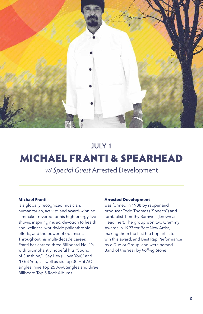

# MICHAEL FRANTI & SPEARHEAD **JULY 1**

*w/ Special Guest* Arrested Development

# **Michael Franti**

is a globally recognized musician, humanitarian, activist, and award-winning filmmaker revered for his high-energy live shows, inspiring music, devotion to health and wellness, worldwide philanthropic efforts, and the power of optimism. Throughout his multi-decade career, Franti has earned three Billboard No. 1's with triumphantly hopeful hits "Sound of Sunshine," "Say Hey (I Love You)" and "I Got You," as well as six Top 30 Hot AC singles, nine Top 25 AAA Singles and three Billboard Top 5 Rock Albums.

### **Arrested Development**

was formed in 1988 by rapper and producer Todd Thomas ("Speech") and turntablist Timothy Barnwell (known as Headliner). The group won two Grammy Awards in 1993 for Best New Artist, making them the first hip hop artist to win this award, and Best Rap Performance by a Duo or Group, and were named Band of the Year by *Rolling Stone*.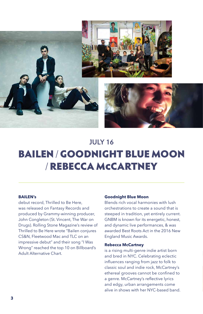

# BAILEN / GOODNIGHT BLUE MOON / REBECCA MCCARTNEY **JULY 16**

## **BAILEN's**

debut record, Thrilled to Be Here, was released on Fantasy Records and produced by Grammy-winning producer, John Congleton (St. Vincent, The War on Drugs). Rolling Stone Magazine's review of Thrilled to Be Here wrote "Bailen conjures CS&N, Fleetwood Mac and TLC on an impressive debut" and their song "I Was Wrong" reached the top 10 on Billboard's Adult Alternative Chart.

## **Goodnight Blue Moon**

Blends rich vocal harmonies with lush orchestrations to create a sound that is steeped in tradition, yet entirely current. GNBM is known for its energetic, honest, and dynamic live performances, & was awarded Best Roots Act in the 2016 New England Music Awards.

#### **Rebecca McCartney**

is a rising multi-genre indie artist born and bred in NYC. Celebrating eclectic influences ranging from jazz to folk to classic soul and indie rock, McCartney's ethereal grooves cannot be confined to a genre. McCartney's reflective lyrics and edgy, urban arrangements come alive in shows with her NYC-based band.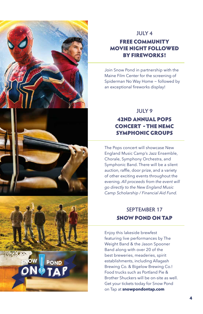

# **JULY 4**

# FREE COMMUNITY MOVIE NIGHT FOLLOWED BY FIREWORKS!

Join Snow Pond in partnership with the Maine Film Center for the screening of Spiderman No Way Home ~ followed by an exceptional fireworks display!

# 42ND ANNUAL POPS CONCERT - THE NEMC SYMPHONIC GROUPS **JULY 9**

The Pops concert will showcase New England Music Camp's Jazz Ensemble, Chorale, Symphony Orchestra, and Symphonic Band. There will be a silent auction, raffle, door prize, and a variety of other exciting events throughout the evening. *All proceeds from the event will go directly to the New England Music Camp Scholarship / Financial Aid Fund.* 

# SNOW POND ON TAP **SEPTEMBER 17**

Enjoy this lakeside brewfest featuring live performances by The Weight Band & the Jason Spooner Band along with over 20 of the best breweries, meaderies, spirit establishments, including Allagash Brewing Co. & Bigelow Brewing Co.! Food trucks such as Portland Pie & Brother Shuckers will be on-site as well. Get your tickets today for Snow Pond on Tap at **[snowpondontap.com](http://snowpondontap.com)**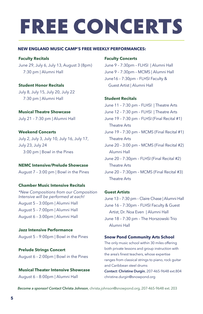# FREE CONCERTS

# **NEW ENGLAND MUSIC CAMP'S FREE WEEKLY PERFORMANCES:**

**Faculty Recitals**

June 29, July 6, July 13, August 3 (8pm) 7:30 pm | Alumni Hall

### **Student Honor Recitals**

July 8, July 15, July 20, July 22 7:30 pm | Alumni Hall

**Musical Theatre Showcase** July 21 – 7:30 pm | Alumni Hall

**Weekend Concerts** July 2, July 3, July 10, July 16, July 17, July 23, July 24 3:00 pm | Bowl in the Pines

# **NEMC Intensive/Prelude Showcase**

August 7 – 3:00 pm | Bowl in the Pines

### **Chamber Music Intensive Recitals**

*\*New Compositions from our Composition Intensive will be performed at each!* August 5 – 3:00pm | Alumni Hall August 5 – 7:00pm | Alumni Hall August 6 – 3:00pm | Alumni Hall

**Jazz Intensive Performance** August 5 – 9:00pm | Bowl in the Pines

**Prelude Strings Concert**  August 6 – 2:00pm | Bowl in the Pines

**Musical Theater Intensive Showcase**  August 6 – 8:00pm | Alumni Hall

# **Faculty Concerts**

June 9 – 7:30pm – FLHSI | Alumni Hall June 9 – 7:30pm – MCMS | Alumni Hall June16 – 7:30pm – FLHSI Faculty & Guest Artist | Alumni Hall

#### **Student Recitals**

June 11 – 7:30 pm – FLHSI | Theatre Arts June 12 – 7:30 pm – FLHSI | Theatre Arts June 19 – 7:30 pm – FLHSI (Final Recital #1) Theatre Arts June 19 – 7:30 pm – MCMS (Final Recital #1) Theatre Arts June 20 – 3:00 pm – MCMS (Final Recital #2) Alumni Hall June 20 – 7:30pm – FLHSI (Final Recital #2) Theatre Arts June 20 – 7:30pm – MCMS (Final Recital #3) Theatre Arts

## **Guest Artists**

June 13 – 7:30 pm – Claire Chase | Alumni Hall June 16 – 7:30pm – FLHSI Faculty & Guest Artist, Dr. Noa Even | Alumni Hall June 18 – 7:30 pm – The Horszowski Trio Alumni Hall

#### **Snow Pond Community Arts School**

The only music school within 30 miles offering both private lessons and group instruction with the area's finest teachers, whose expertise ranges from classical strings to piano, rock guitar and Caribbean steel drums

*Contact:* **Christine Durgin**, 207-465-9648 ext.804 christine.durgin@snowpond.org

*Become a sponsor! Contact* **Christa Johnson**, [christa.johnson@snowpond.org,](mailto:christa.johnson@snowpond.org) 207-465-9648 ext. 203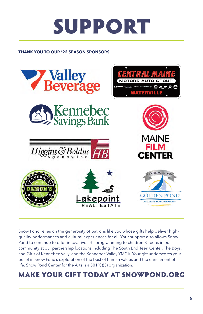# SUPPORT

# **THANK YOU TO OUR '22 SEASON SPONSORS**



Snow Pond relies on the generosity of patrons like you whose gifts help deliver highquality performances and cultural experiences for all. Your support also allows Snow Pond to continue to offer innovative arts programming to children & teens in our community at our partnership locations including The South End Teen Center, The Boys, and Girls of Kennebec Vally, and the Kennebec Valley YMCA. Your gift underscores your belief in Snow Pond's exploration of the best of human values and the enrichment of life. Snow Pond Center for the Arts is a 501(C)(3) organization.

# MAKE YOUR GIFT TODAY AT SNOWPOND.ORG